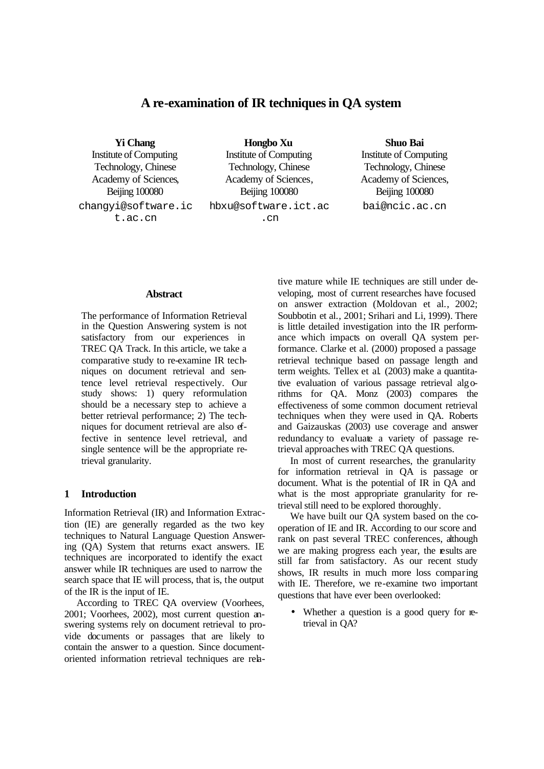# **A re-examination of IR techniques in QA system**

**Yi Chang** Institute of Computing Technology, Chinese Academy of Sciences, Beijing 100080 changyi@software.ic t.ac.cn

**Hongbo Xu** Institute of Computing Technology, Chinese Academy of Sciences, Beijing 100080 hbxu@software.ict.ac .cn

**Shuo Bai** Institute of Computing Technology, Chinese Academy of Sciences, Beijing 100080 bai@ncic.ac.cn

#### **Abstract**

The performance of Information Retrieval in the Question Answering system is not satisfactory from our experiences in TREC QA Track. In this article, we take a comparative study to re-examine IR techniques on document retrieval and sentence level retrieval respectively. Our study shows: 1) query reformulation should be a necessary step to achieve a better retrieval performance; 2) The techniques for document retrieval are also effective in sentence level retrieval, and single sentence will be the appropriate retrieval granularity.

### **1 Introduction**

Information Retrieval (IR) and Information Extraction (IE) are generally regarded as the two key techniques to Natural Language Question Answering (QA) System that returns exact answers. IE techniques are incorporated to identify the exact answer while IR techniques are used to narrow the search space that IE will process, that is, the output of the IR is the input of IE.

According to TREC QA overview (Voorhees, 2001; Voorhees, 2002), most current question answering systems rely on document retrieval to provide documents or passages that are likely to contain the answer to a question. Since documentoriented information retrieval techniques are relative mature while IE techniques are still under developing, most of current researches have focused on answer extraction (Moldovan et al., 2002; Soubbotin et al., 2001; Srihari and Li, 1999). There is little detailed investigation into the IR performance which impacts on overall QA system performance. Clarke et al. (2000) proposed a passage retrieval technique based on passage length and term weights. Tellex et al. (2003) make a quantitative evaluation of various passage retrieval algorithms for QA. Monz (2003) compares the effectiveness of some common document retrieval techniques when they were used in QA. Roberts and Gaizauskas (2003) use coverage and answer redundancy to evaluate a variety of passage retrieval approaches with TREC QA questions.

In most of current researches, the granularity for information retrieval in QA is passage or document. What is the potential of IR in QA and what is the most appropriate granularity for retrieval still need to be explored thoroughly.

We have built our OA system based on the cooperation of IE and IR. According to our score and rank on past several TREC conferences, although we are making progress each year, the results are still far from satisfactory. As our recent study shows, IR results in much more loss comparing with IE. Therefore, we re-examine two important questions that have ever been overlooked:

Whether a question is a good query for retrieval in QA?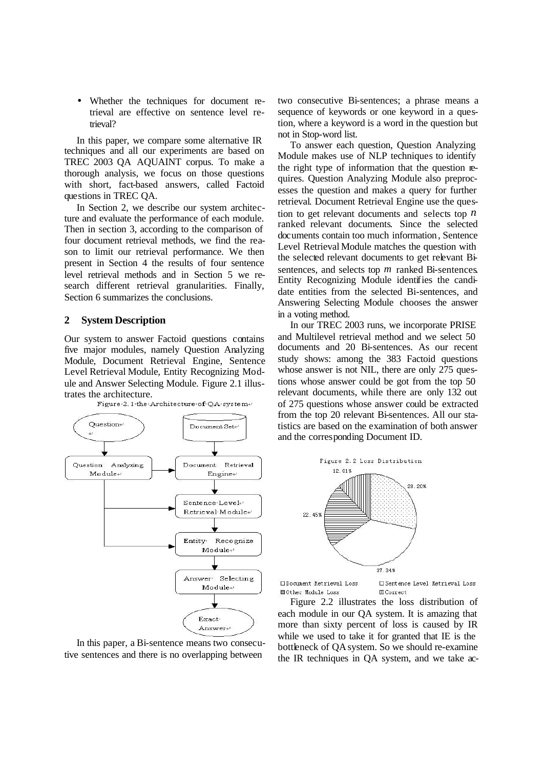Whether the techniques for document retrieval are effective on sentence level retrieval?

In this paper, we compare some alternative IR techniques and all our experiments are based on TREC 2003 QA AQUAINT corpus. To make a thorough analysis, we focus on those questions with short, fact-based answers, called Factoid questions in TREC QA.

In Section 2, we describe our system architecture and evaluate the performance of each module. Then in section 3, according to the comparison of four document retrieval methods, we find the reason to limit our retrieval performance. We then present in Section 4 the results of four sentence level retrieval methods and in Section 5 we research different retrieval granularities. Finally, Section 6 summarizes the conclusions.

#### **2 System Description**

Our system to answer Factoid questions contains five major modules, namely Question Analyzing Module, Document Retrieval Engine, Sentence Level Retrieval Module, Entity Recognizing Module and Answer Selecting Module. Figure 2.1 illustrates the architecture.<br>Figure 2.1 the Architecture of OA system



In this paper, a Bi-sentence means two consecutive sentences and there is no overlapping between

two consecutive Bi-sentences; a phrase means a sequence of keywords or one keyword in a question, where a keyword is a word in the question but not in Stop-word list.

To answer each question, Question Analyzing Module makes use of NLP techniques to identify the right type of information that the question requires. Question Analyzing Module also preprocesses the question and makes a query for further retrieval. Document Retrieval Engine use the question to get relevant documents and selects top *n* ranked relevant documents. Since the selected documents contain too much information, Sentence Level Retrieval Module matches the question with the selected relevant documents to get relevant Bisentences, and selects top *m* ranked Bi-sentences. Entity Recognizing Module identifies the candidate entities from the selected Bi-sentences, and Answering Selecting Module chooses the answer in a voting method.

In our TREC 2003 runs, we incorporate PRISE and Multilevel retrieval method and we select 50 documents and 20 Bi-sentences. As our recent study shows: among the 383 Factoid questions whose answer is not NIL, there are only 275 questions whose answer could be got from the top 50 relevant documents, while there are only 132 out of 275 questions whose answer could be extracted from the top 20 relevant Bi-sentences. All our statistics are based on the examination of both answer and the corresponding Document ID.



**CIDocument Retrieval Loss** □ Sentence Level Retrieval Loss 目Other Module Loss **II**Correct

Figure 2.2 illustrates the loss distribution of each module in our QA system. It is amazing that more than sixty percent of loss is caused by IR while we used to take it for granted that IE is the bottleneck of QA system. So we should re-examine the IR techniques in QA system, and we take ac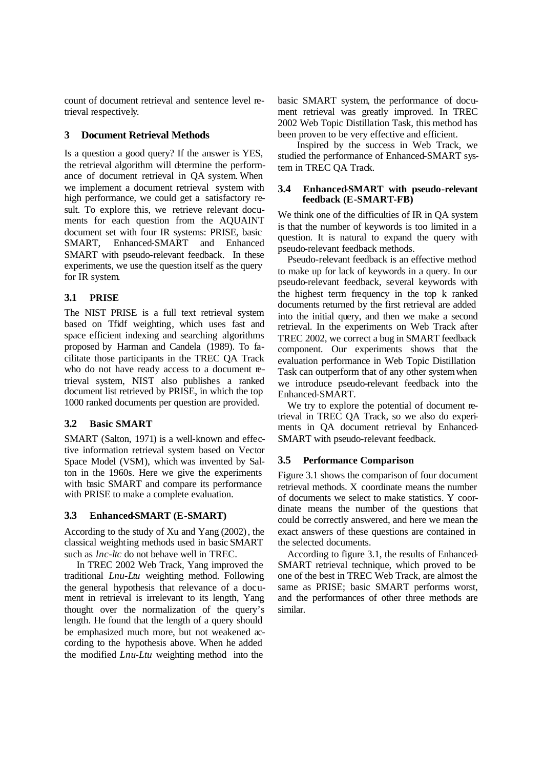count of document retrieval and sentence level retrieval respectively.

## **3 Document Retrieval Methods**

Is a question a good query? If the answer is YES, the retrieval algorithm will determine the performance of document retrieval in QA system. When we implement a document retrieval system with high performance, we could get a satisfactory result. To explore this, we retrieve relevant documents for each question from the AQUAINT document set with four IR systems: PRISE, basic SMART, Enhanced-SMART and Enhanced SMART with pseudo-relevant feedback. In these experiments, we use the question itself as the query for IR system.

## **3.1 PRISE**

The NIST PRISE is a full text retrieval system based on Tfidf weighting, which uses fast and space efficient indexing and searching algorithms proposed by Harman and Candela (1989). To facilitate those participants in the TREC QA Track who do not have ready access to a document retrieval system, NIST also publishes a ranked document list retrieved by PRISE, in which the top 1000 ranked documents per question are provided.

## **3.2 Basic SMART**

SMART (Salton, 1971) is a well-known and effective information retrieval system based on Vector Space Model (VSM), which was invented by Salton in the 1960s. Here we give the experiments with basic SMART and compare its performance with PRISE to make a complete evaluation.

## **3.3 Enhanced-SMART (E-SMART)**

According to the study of Xu and Yang (2002), the classical weighting methods used in basic SMART such as *lnc-ltc* do not behave well in TREC.

In TREC 2002 Web Track, Yang improved the traditional *Lnu-Ltu* weighting method. Following the general hypothesis that relevance of a document in retrieval is irrelevant to its length, Yang thought over the normalization of the query's length. He found that the length of a query should be emphasized much more, but not weakened according to the hypothesis above. When he added the modified *Lnu-Ltu* weighting method into the

basic SMART system, the performance of document retrieval was greatly improved. In TREC 2002 Web Topic Distillation Task, this method has been proven to be very effective and efficient.

Inspired by the success in Web Track, we studied the performance of Enhanced-SMART system in TREC QA Track.

## **3.4 Enhanced-SMART with pseudo-relevant feedback (E-SMART-FB)**

We think one of the difficulties of IR in QA system is that the number of keywords is too limited in a question. It is natural to expand the query with pseudo-relevant feedback methods.

Pseudo-relevant feedback is an effective method to make up for lack of keywords in a query. In our pseudo-relevant feedback, several keywords with the highest term frequency in the top k ranked documents returned by the first retrieval are added into the initial query, and then we make a second retrieval. In the experiments on Web Track after TREC 2002, we correct a bug in SMART feedback component. Our experiments shows that the evaluation performance in Web Topic Distillation Task can outperform that of any other system when we introduce pseudo-relevant feedback into the Enhanced-SMART.

We try to explore the potential of document retrieval in TREC QA Track, so we also do experiments in QA document retrieval by Enhanced-SMART with pseudo-relevant feedback.

## **3.5 Performance Comparison**

Figure 3.1 shows the comparison of four document retrieval methods. X coordinate means the number of documents we select to make statistics. Y coordinate means the number of the questions that could be correctly answered, and here we mean the exact answers of these questions are contained in the selected documents.

According to figure 3.1, the results of Enhanced-SMART retrieval technique, which proved to be one of the best in TREC Web Track, are almost the same as PRISE; basic SMART performs worst, and the performances of other three methods are similar.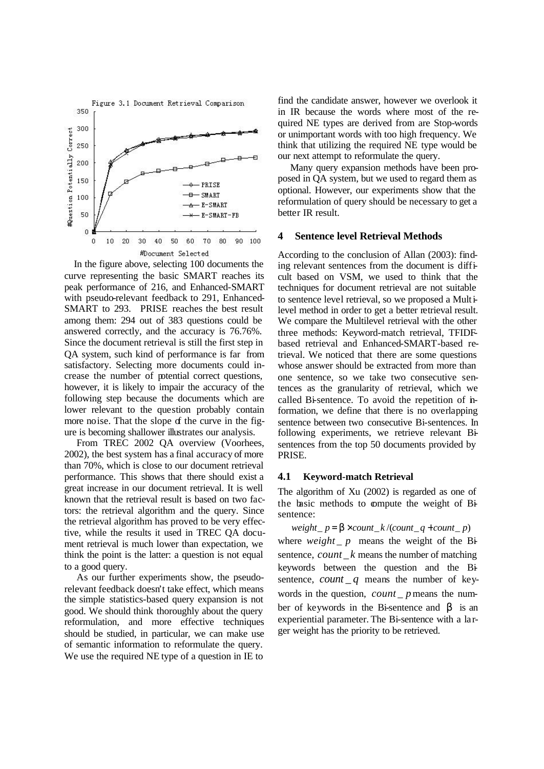

In the figure above, selecting 100 documents the curve representing the basic SMART reaches its peak performance of 216, and Enhanced-SMART with pseudo-relevant feedback to 291, Enhanced-SMART to 293. PRISE reaches the best result among them: 294 out of 383 questions could be answered correctly, and the accuracy is 76.76%. Since the document retrieval is still the first step in QA system, such kind of performance is far from satisfactory. Selecting more documents could increase the number of potential correct questions, however, it is likely to impair the accuracy of the following step because the documents which are lower relevant to the question probably contain more noise. That the slope of the curve in the figure is becoming shallower illustrates our analysis.

From TREC 2002 QA overview (Voorhees, 2002), the best system has a final accuracy of more than 70%, which is close to our document retrieval performance. This shows that there should exist a great increase in our document retrieval. It is well known that the retrieval result is based on two factors: the retrieval algorithm and the query. Since the retrieval algorithm has proved to be very effective, while the results it used in TREC QA document retrieval is much lower than expectation, we think the point is the latter: a question is not equal to a good query.

As our further experiments show, the pseudorelevant feedback doesn't take effect, which means the simple statistics-based query expansion is not good. We should think thoroughly about the query reformulation, and more effective techniques should be studied, in particular, we can make use of semantic information to reformulate the query. We use the required NE type of a question in IE to

find the candidate answer, however we overlook it in IR because the words where most of the required NE types are derived from are Stop-words or unimportant words with too high frequency. We think that utilizing the required NE type would be our next attempt to reformulate the query.

Many query expansion methods have been proposed in QA system, but we used to regard them as optional. However, our experiments show that the reformulation of query should be necessary to get a better IR result.

### **4 Sentence level Retrieval Methods**

According to the conclusion of Allan (2003): finding relevant sentences from the document is difficult based on VSM, we used to think that the techniques for document retrieval are not suitable to sentence level retrieval, so we proposed a Multilevel method in order to get a better retrieval result. We compare the Multilevel retrieval with the other three methods: Keyword-match retrieval, TFIDFbased retrieval and Enhanced-SMART-based retrieval. We noticed that there are some questions whose answer should be extracted from more than one sentence, so we take two consecutive sentences as the granularity of retrieval, which we called Bi-sentence. To avoid the repetition of information, we define that there is no overlapping sentence between two consecutive Bi-sentences. In following experiments, we retrieve relevant Bisentences from the top 50 documents provided by PRISE.

#### **4.1 Keyword-match Retrieval**

The algorithm of Xu (2002) is regarded as one of the basic methods to compute the weight of Bisentence:

*weight*  $p = \mathbf{b} \times count \cdot k / (count \cdot q + count \cdot p)$ where  $weight_p$  means the weight of the Bisentence, *count* k means the number of matching keywords between the question and the Bisentence, *count*  $q$  means the number of keywords in the question, *count* \_ *p* means the number of keywords in the Bi-sentence and *b* is an experiential parameter. The Bi-sentence with a larger weight has the priority to be retrieved.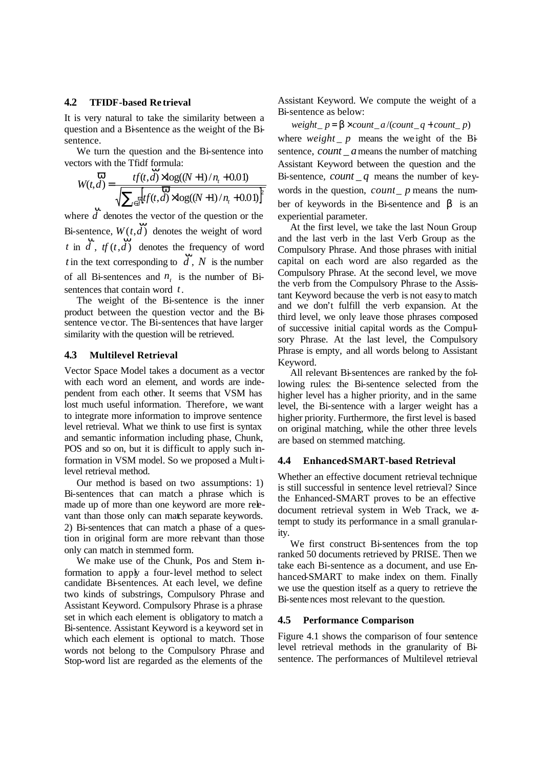#### **4.2 TFIDF-based Re trieval**

It is very natural to take the similarity between a question and a Bi-sentence as the weight of the Bisentence.

We turn the question and the Bi-sentence into vectors with the Tfidf formula:

$$
W(t,d) = \frac{tf(t,d) \times \log((N+1)/n_t + 0.01)}{\sqrt{\sum_{t} \sum_{t} \left[ tf(t,d) \times \log((N+1)/n_t + 0.01) \right]^2}}
$$

where *d* denotes the vector of the question or the Bi-sentence,  $W(t, d)$ ւռ<br>ա denotes the weight of word *t* in *d* ϖ  $, tf(t,d)$ ϖ denotes the frequency of word *t* in the text corresponding to  $\tilde{d}$ ,  $N$  is the number of all Bi-sentences and  $n<sub>t</sub>$  is the number of Bisentences that contain word *t*.

The weight of the Bi-sentence is the inner product between the question vector and the Bisentence ve ctor. The Bi-sentences that have larger similarity with the question will be retrieved.

### **4.3 Multilevel Retrieval**

Vector Space Model takes a document as a vector with each word an element, and words are independent from each other. It seems that VSM has lost much useful information. Therefore, we want to integrate more information to improve sentence level retrieval. What we think to use first is syntax and semantic information including phase, Chunk, POS and so on, but it is difficult to apply such information in VSM model. So we proposed a Multilevel retrieval method.

Our method is based on two assumptions: 1) Bi-sentences that can match a phrase which is made up of more than one keyword are more relevant than those only can match separate keywords. 2) Bi-sentences that can match a phase of a question in original form are more relevant than those only can match in stemmed form.

We make use of the Chunk, Pos and Stem information to apply a four-level method to select candidate Bi-sentences. At each level, we define two kinds of substrings, Compulsory Phrase and Assistant Keyword. Compulsory Phrase is a phrase set in which each element is obligatory to match a Bi-sentence. Assistant Keyword is a keyword set in which each element is optional to match. Those words not belong to the Compulsory Phrase and Stop-word list are regarded as the elements of the

Assistant Keyword. We compute the weight of a Bi-sentence as below:

 $weight_p = \mathbf{b} \times count_a / (count_q + count_p)$ where  $weight_p$  means the weight of the Bisentence,  $count_a$  means the number of matching Assistant Keyword between the question and the Bi-sentence, *count*  $q$  means the number of keywords in the question, *count*\_ *p* means the number of keywords in the Bi-sentence and *b* is an experiential parameter.

At the first level, we take the last Noun Group and the last verb in the last Verb Group as the Compulsory Phrase. And those phrases with initial capital on each word are also regarded as the Compulsory Phrase. At the second level, we move the verb from the Compulsory Phrase to the Assistant Keyword because the verb is not easy to match and we don't fulfill the verb expansion. At the third level, we only leave those phrases composed of successive initial capital words as the Compulsory Phrase. At the last level, the Compulsory Phrase is empty, and all words belong to Assistant Keyword.

All relevant Bi-sentences are ranked by the following rules: the Bi-sentence selected from the higher level has a higher priority, and in the same level, the Bi-sentence with a larger weight has a higher priority. Furthermore, the first level is based on original matching, while the other three levels are based on stemmed matching.

#### **4.4 Enhanced-SMART-based Retrieval**

Whether an effective document retrieval technique is still successful in sentence level retrieval? Since the Enhanced-SMART proves to be an effective document retrieval system in Web Track, we attempt to study its performance in a small granularity.

We first construct Bi-sentences from the top ranked 50 documents retrieved by PRISE. Then we take each Bi-sentence as a document, and use Enhanced-SMART to make index on them. Finally we use the question itself as a query to retrieve the Bi-sentences most relevant to the question.

### **4.5 Performance Comparison**

Figure 4.1 shows the comparison of four sentence level retrieval methods in the granularity of Bisentence. The performances of Multilevel retrieval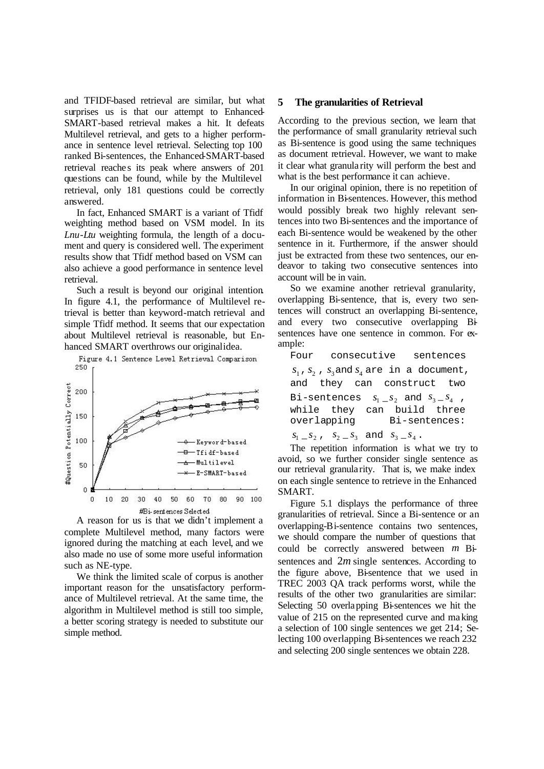and TFIDF-based retrieval are similar, but what surprises us is that our attempt to Enhanced-SMART-based retrieval makes a hit. It defeats Multilevel retrieval, and gets to a higher performance in sentence level retrieval. Selecting top 100 ranked Bi-sentences, the Enhanced-SMART-based retrieval reache s its peak where answers of 201 questions can be found, while by the Multilevel retrieval, only 181 questions could be correctly answered.

In fact, Enhanced SMART is a variant of Tfidf weighting method based on VSM model. In its *Lnu-Ltu* weighting formula, the length of a document and query is considered well. The experiment results show that Tfidf method based on VSM can also achieve a good performance in sentence level retrieval.

Such a result is beyond our original intention. In figure 4.1, the performance of Multilevel retrieval is better than keyword-match retrieval and simple Tfidf method. It seems that our expectation about Multilevel retrieval is reasonable, but Enhanced SMART overthrows our originalidea.

Figure 4.1 Sentence Level Retrieval Comparison



A reason for us is that we didn't implement a complete Multilevel method, many factors were ignored during the matching at each level, and we also made no use of some more useful information such as NE-type.

We think the limited scale of corpus is another important reason for the unsatisfactory performance of Multilevel retrieval. At the same time, the algorithm in Multilevel method is still too simple, a better scoring strategy is needed to substitute our simple method.

#### **5 The granularities of Retrieval**

According to the previous section, we learn that the performance of small granularity retrieval such as Bi-sentence is good using the same techniques as document retrieval. However, we want to make it clear what granula rity will perform the best and what is the best performance it can achieve.

In our original opinion, there is no repetition of information in Bi-sentences. However, this method would possibly break two highly relevant sentences into two Bi-sentences and the importance of each Bi-sentence would be weakened by the other sentence in it. Furthermore, if the answer should just be extracted from these two sentences, our endeavor to taking two consecutive sentences into account will be in vain.

So we examine another retrieval granularity, overlapping Bi-sentence, that is, every two sentences will construct an overlapping Bi-sentence, and every two consecutive overlapping Bisentences have one sentence in common. For example:

Four consecutive sentences  $s_1$ ,  $s_2$ ,  $s_3$  and  $s_4$  are in a document, and they can construct two Bi-sentences  $s_1 \_s_2$  and  $s_3 \_s_4$ , while they can build three overlapping Bi-sentences:  $s_1 = s_2$ ,  $s_2 = s_3$  and  $s_3 = s_4$ .

The repetition information is what we try to avoid, so we further consider single sentence as our retrieval granula rity. That is, we make index on each single sentence to retrieve in the Enhanced SMART.

Figure 5.1 displays the performance of three granularities of retrieval. Since a Bi-sentence or an overlapping-Bi-sentence contains two sentences, we should compare the number of questions that could be correctly answered between *m* Bisentences and 2*m* single sentences. According to the figure above, Bi-sentence that we used in TREC 2003 QA track performs worst, while the results of the other two granularities are similar: Selecting 50 overlapping Bi-sentences we hit the value of 215 on the represented curve and making a selection of 100 single sentences we get 214; Selecting 100 overlapping Bi-sentences we reach 232 and selecting 200 single sentences we obtain 228.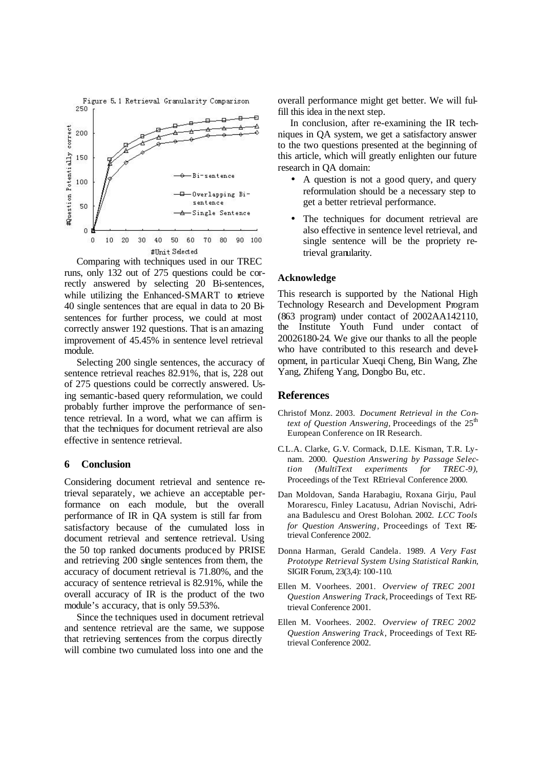

Comparing with techniques used in our TREC runs, only 132 out of 275 questions could be correctly answered by selecting 20 Bi-sentences, while utilizing the Enhanced-SMART to retrieve 40 single sentences that are equal in data to 20 Bisentences for further process, we could at most correctly answer 192 questions. That is an amazing improvement of 45.45% in sentence level retrieval module.

Selecting 200 single sentences, the accuracy of sentence retrieval reaches 82.91%, that is, 228 out of 275 questions could be correctly answered. Using semantic-based query reformulation, we could probably further improve the performance of sentence retrieval. In a word, what we can affirm is that the techniques for document retrieval are also effective in sentence retrieval.

### **6 Conclusion**

Considering document retrieval and sentence retrieval separately, we achieve an acceptable performance on each module, but the overall performance of IR in QA system is still far from satisfactory because of the cumulated loss in document retrieval and sentence retrieval. Using the 50 top ranked documents produced by PRISE and retrieving 200 single sentences from them, the accuracy of document retrieval is 71.80%, and the accuracy of sentence retrieval is 82.91%, while the overall accuracy of IR is the product of the two module's accuracy, that is only 59.53%.

Since the techniques used in document retrieval and sentence retrieval are the same, we suppose that retrieving sentences from the corpus directly will combine two cumulated loss into one and the

overall performance might get better. We will fulfill this idea in the next step.

In conclusion, after re-examining the IR techniques in QA system, we get a satisfactory answer to the two questions presented at the beginning of this article, which will greatly enlighten our future research in QA domain:

- A question is not a good query, and query reformulation should be a necessary step to get a better retrieval performance.
- The techniques for document retrieval are also effective in sentence level retrieval, and single sentence will be the propriety retrieval granularity.

#### **Acknowledge**

This research is supported by the National High Technology Research and Development Program (863 program) under contact of 2002AA142110, the Institute Youth Fund under contact of 20026180-24. We give our thanks to all the people who have contributed to this research and development, in particular Xueqi Cheng, Bin Wang, Zhe Yang, Zhifeng Yang, Dongbo Bu, etc.

## **References**

- Christof Monz. 2003. *Document Retrieval in the Context of Question Answering,* Proceedings of the  $25<sup>th</sup>$ European Conference on IR Research.
- C.L.A. Clarke, G.V. Cormack, D.I.E. Kisman, T.R. Lynam. 2000. *Question Answering by Passage Selection (MultiText experiments for TREC-9),* Proceedings of the Text REtrieval Conference 2000.
- Dan Moldovan, Sanda Harabagiu, Roxana Girju, Paul Morarescu, Finley Lacatusu, Adrian Novischi, Adriana Badulescu and Orest Bolohan. 2002. *LCC Tools for Question Answering,* Proceedings of Text REtrieval Conference 2002.
- Donna Harman, Gerald Candela. 1989. *A Very Fast Prototype Retrieval System Using Statistical Rankin,* SIGIR Forum, 23(3,4): 100-110.
- Ellen M. Voorhees. 2001. *Overview of TREC 2001 Question Answering Track,* Proceedings of Text REtrieval Conference 2001.
- Ellen M. Voorhees. 2002. *Overview of TREC 2002 Question Answering Track*, Proceedings of Text REtrieval Conference 2002.